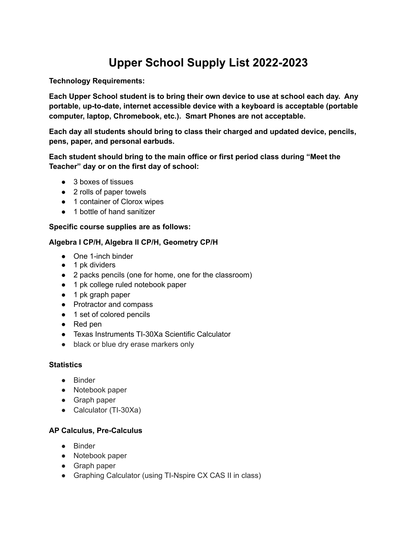# **Upper School Supply List 2022-2023**

**Technology Requirements:**

**Each Upper School student is to bring their own device to use at school each day. Any portable, up-to-date, internet accessible device with a keyboard is acceptable (portable computer, laptop, Chromebook, etc.). Smart Phones are not acceptable.**

**Each day all students should bring to class their charged and updated device, pencils, pens, paper, and personal earbuds.**

**Each student should bring to the main office or first period class during "Meet the Teacher" day or on the first day of school:**

- 3 boxes of tissues
- 2 rolls of paper towels
- 1 container of Clorox wipes
- 1 bottle of hand sanitizer

# **Specific course supplies are as follows:**

# **Algebra I CP/H, Algebra II CP/H, Geometry CP/H**

- One 1-inch binder
- 1 pk dividers
- 2 packs pencils (one for home, one for the classroom)
- 1 pk college ruled notebook paper
- 1 pk graph paper
- Protractor and compass
- 1 set of colored pencils
- Red pen
- Texas Instruments TI-30Xa Scientific Calculator
- black or blue dry erase markers only

# **Statistics**

- Binder
- Notebook paper
- Graph paper
- Calculator (TI-30Xa)

# **AP Calculus, Pre-Calculus**

- Binder
- Notebook paper
- Graph paper
- Graphing Calculator (using TI-Nspire CX CAS II in class)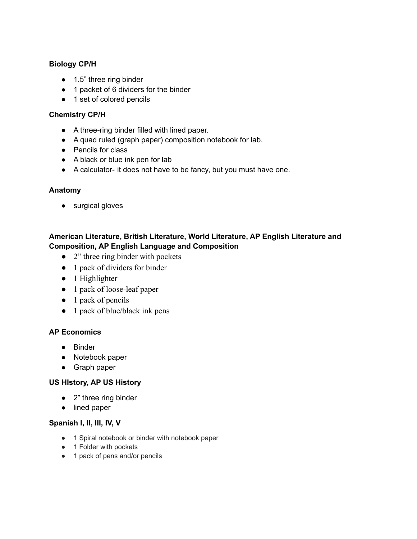# **Biology CP/H**

- 1.5" three ring binder
- 1 packet of 6 dividers for the binder
- 1 set of colored pencils

## **Chemistry CP/H**

- A three-ring binder filled with lined paper.
- A quad ruled (graph paper) composition notebook for lab.
- Pencils for class
- A black or blue ink pen for lab
- A calculator- it does not have to be fancy, but you must have one.

## **Anatomy**

● surgical gloves

# **American Literature, British Literature, World Literature, AP English Literature and Composition, AP English Language and Composition**

- 2" three ring binder with pockets
- 1 pack of dividers for binder
- 1 Highlighter
- 1 pack of loose-leaf paper
- 1 pack of pencils
- 1 pack of blue/black ink pens

## **AP Economics**

- Binder
- Notebook paper
- Graph paper

#### **US HIstory, AP US History**

- 2" three ring binder
- lined paper

# **Spanish I, II, III, IV, V**

- 1 Spiral notebook or binder with notebook paper
- 1 Folder with pockets
- 1 pack of pens and/or pencils